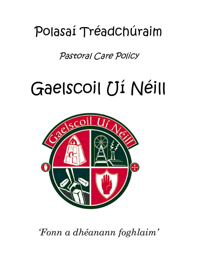## Polasaí Tréadchúraim

Pastoral Care Policy

# Gaelscoil Uí Néill



*'Fonn a dhéanann foghlaim'*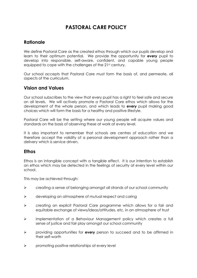### **PASTORAL CARE POLICY**

#### **Rationale**

We define Pastoral Care as the created ethos through which our pupils develop and learn to their optimum potential. We provide the opportunity for **every** pupil to develop into responsible, self-aware, confident, and capable young people equipped to cope with the challenges of the 21st century.

Our school accepts that Pastoral Care must form the basis of, and permeate, all aspects of the curriculum.

#### **Vision and Values**

Our school subscribes to the view that every pupil has a right to feel safe and secure on all levels. We will actively promote a Pastoral Care ethos which allows for the development of the whole person, and which leads to **every** pupil making good choices which will form the basis for a healthy and positive lifestyle.

Pastoral Care will be the setting where our young people will acquire values and standards on the basis of observing these at work at every level.

It is also important to remember that schools are centres of *education* and we therefore accept the validity of a personal development approach rather than a delivery which is service driven.

#### **Ethos**

Ethos is an intangible concept with a tangible effect. It is our intention to establish an ethos which may be detected in the feelings of security at every level within our school.

This may be achieved through:

- $\triangleright$  creating a sense of belonging amongst all strands of our school community
- $\triangleright$  developing an atmosphere of mutual respect and caring
- creating an explicit Pastoral Care programme which allows for a fair and equitable exchange of views/ideas/attitudes, etc. in an atmosphere of trust
- implementation of a Behaviour Management policy which creates a full sense of justice and fair play amongst our school community
- providing opportunities for **every** person to succeed and to be affirmed in their self-worth
- $\triangleright$  promoting positive relationships at every level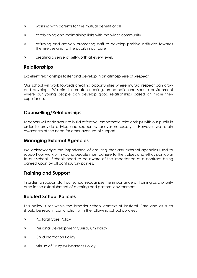- $\triangleright$  working with parents for the mutual benefit of all
- $\triangleright$  establishing and maintaining links with the wider community
- $\triangleright$  affirming and actively promoting staff to develop positive attitudes towards themselves and to the pupils in our care
- $\triangleright$  creating a sense of self-worth at every level.

#### **Relationships**

Excellent relationships foster and develop in an atmosphere of *Respect*.

Our school will work towards creating opportunities where mutual respect can grow and develop. We aim to create a caring, empathetic and secure environment where our young people can develop good relationships based on those they experience.

#### **Counselling/Relationships**

Teachers will endeavour to build effective, empathetic relationships with our pupils in order to provide advice and support whenever necessary. However we retain awareness of the need for other avenues of support.

#### **Managing External Agencies**

We acknowledge the importance of ensuring that any external agencies used to support our work with young people must adhere to the values and ethos particular to our school. Schools need to be aware of the importance of a contract being agreed upon by all contributory parties.

#### **Training and Support**

In order to support staff our school recognizes the importance of training as a priority area in the establishment of a caring and pastoral environment.

#### **Related School Policies**

This policy is set within the broader school context of Pastoral Care and as such should be read in conjunction with the following school policies :

- Pastoral Care Policy
- Personal Development Curriculum Policy
- Child Protection Policy
- > Misuse of Drugs/Substances Policy